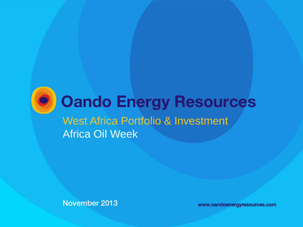

# **Oando Energy Resources** West Africa Portfolio & Investment Africa Oil Week

November 2013 www.oandoenergyresources.com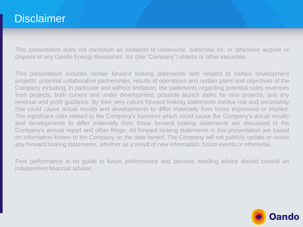### **Disclaimer**

This presentation does not constitute an invitation to underwrite, subscribe for, or otherwise acquire or dispose of any Oando Energy Resources Inc (the "Company") shares or other securities.

This presentation includes certain forward looking statements with respect to certain development projects, potential collaborative partnerships, results of operations and certain plans and objectives of the Company including, in particular and without limitation, the statements regarding potential sales revenues from projects, both current and under development, possible launch dates for new projects, and any revenue and profit guidance. By their very nature forward looking statements involve risk and uncertainty that could cause actual results and developments to differ materially from those expressed or implied. The significant risks related to the Company's business which could cause the Company's actual results and developments to differ materially from those forward looking statements are discussed in the Company's annual report and other filings. All forward looking statements in this presentation are based on information known to the Company on the date hereof. The Company will not publicly update or revise any forward looking statements, whether as a result of new information, future events or otherwise.

Past performance is no guide to future performance and persons needing advice should consult an independent financial adviser.

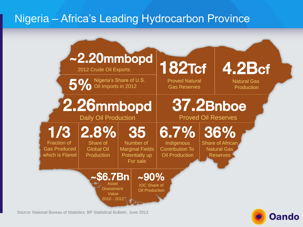## Nigeria – Africa's Leading Hydrocarbon Province



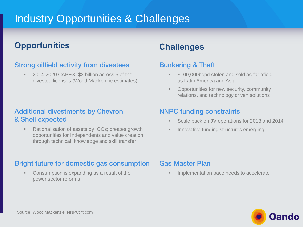### Industry Opportunities & Challenges

### **Opportunities Challenges**

#### Strong oilfield activity from divestees

 2014-2020 CAPEX: \$3 billion across 5 of the divested licenses (Wood Mackenzie estimates)

#### Additional divestments by Chevron & Shell expected

■ Rationalisation of assets by IOCs; creates growth opportunities for Independents and value creation through technical, knowledge and skill transfer

#### Bright future for domestic gas consumption

 Consumption is expanding as a result of the power sector reforms

#### Bunkering & Theft

- ~100,000bopd stolen and sold as far afield as Latin America and Asia
- **Opportunities for new security, community** relations, and technology driven solutions

#### NNPC funding constraints

- Scale back on JV operations for 2013 and 2014
- Innovative funding structures emerging

#### Gas Master Plan

Implementation pace needs to accelerate

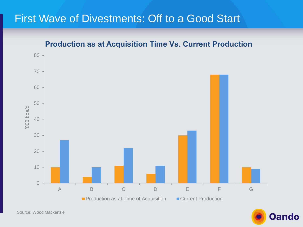### First Wave of Divestments: Off to a Good Start



Oando

Source: Wood Mackenzie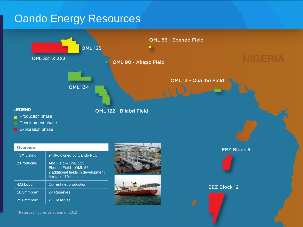### Oando Energy Resources

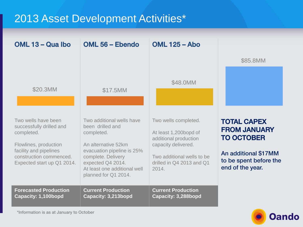### 2013 Asset Development Activities\*

| OML 13 – Qua Ibo                                                                                                                                                          | OML 56 - Ebendo                                                                                                                                                                                                     | <b>OML 125 - Abo</b>                                                                                                                                              | \$85.8MM                                                                                                                             |
|---------------------------------------------------------------------------------------------------------------------------------------------------------------------------|---------------------------------------------------------------------------------------------------------------------------------------------------------------------------------------------------------------------|-------------------------------------------------------------------------------------------------------------------------------------------------------------------|--------------------------------------------------------------------------------------------------------------------------------------|
| \$20.3MM                                                                                                                                                                  | \$17.5MM                                                                                                                                                                                                            | \$48.0MM                                                                                                                                                          |                                                                                                                                      |
| Two wells have been<br>successfully drilled and<br>completed.<br>Flowlines, production<br>facility and pipelines<br>construction commenced.<br>Expected start up Q1 2014. | Two additional wells have<br>been drilled and<br>completed.<br>An alternative 52km<br>evacuation pipeline is 25%<br>complete. Delivery<br>expected Q4 2014.<br>At least one additional well<br>planned for Q1 2014. | Two wells completed.<br>At least 1,200bopd of<br>additional production<br>capacity delivered.<br>Two additional wells to be<br>drilled in Q4 2013 and Q1<br>2014. | <b>TOTAL CAPEX</b><br><b>FROM JANUARY</b><br><b>TO OCTOBER</b><br>An additional \$17MM<br>to be spent before the<br>end of the year. |
| <b>Forecasted Production</b>                                                                                                                                              | <b>Current Production</b>                                                                                                                                                                                           | <b>Current Production</b>                                                                                                                                         |                                                                                                                                      |
| Capacity: 1,100bopd                                                                                                                                                       | Capacity: 3,213bopd                                                                                                                                                                                                 | <b>Capacity: 3,288bopd</b>                                                                                                                                        |                                                                                                                                      |

**Oando**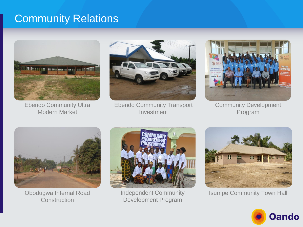### Community Relations



Ebendo Community Ultra Modern Market



Ebendo Community Transport Investment



Community Development Program



Obodugwa Internal Road **Construction** 



Independent Community Development Program



Isumpe Community Town Hall

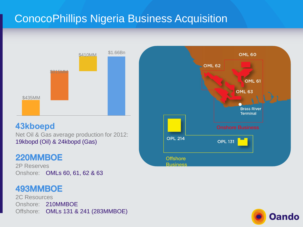## ConocoPhillips Nigeria Business Acquisition



#### **43kboepd**

Net Oil & Gas average production for 2012: 19kbopd (Oil) & 24kbopd (Gas)

### 220MMBOE

2P Reserves Onshore: OMLs 60, 61, 62 & 63

### 493MMBOE

2C Resources Onshore: 210MMBOE Offshore: OMLs 131 & 241 (283MMBOE)